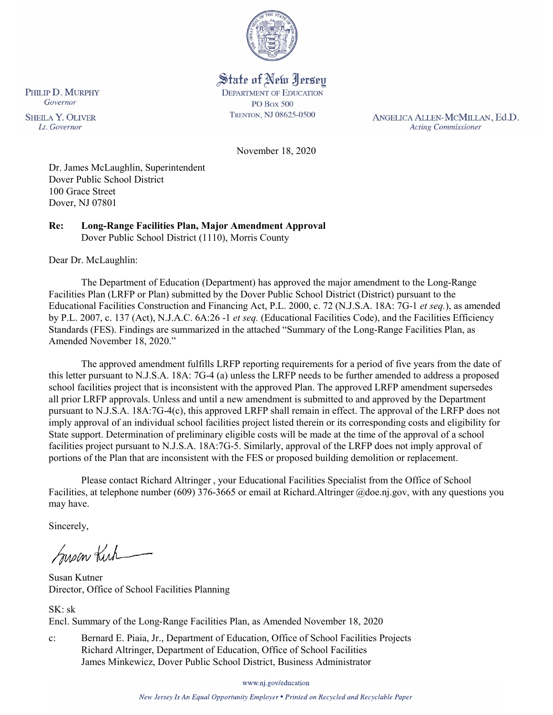

# State of New Jersey

**DEPARTMENT OF EDUCATION PO Box 500** TRENTON, NJ 08625-0500

ANGELICA ALLEN-MCMILLAN, Ed.D. **Acting Commissioner** 

November 18, 2020

Dr. James McLaughlin, Superintendent Dover Public School District 100 Grace Street Dover, NJ 07801

**Re: Long-Range Facilities Plan, Major Amendment Approval**  Dover Public School District (1110), Morris County

Dear Dr. McLaughlin:

The Department of Education (Department) has approved the major amendment to the Long-Range Facilities Plan (LRFP or Plan) submitted by the Dover Public School District (District) pursuant to the Educational Facilities Construction and Financing Act, P.L. 2000, c. 72 (N.J.S.A. 18A: 7G-1 *et seq.*), as amended by P.L. 2007, c. 137 (Act), N.J.A.C. 6A:26 -1 *et seq.* (Educational Facilities Code), and the Facilities Efficiency Standards (FES). Findings are summarized in the attached "Summary of the Long-Range Facilities Plan, as Amended November 18, 2020."

The approved amendment fulfills LRFP reporting requirements for a period of five years from the date of this letter pursuant to N.J.S.A. 18A: 7G-4 (a) unless the LRFP needs to be further amended to address a proposed school facilities project that is inconsistent with the approved Plan. The approved LRFP amendment supersedes all prior LRFP approvals. Unless and until a new amendment is submitted to and approved by the Department pursuant to N.J.S.A. 18A:7G-4(c), this approved LRFP shall remain in effect. The approval of the LRFP does not imply approval of an individual school facilities project listed therein or its corresponding costs and eligibility for State support. Determination of preliminary eligible costs will be made at the time of the approval of a school facilities project pursuant to N.J.S.A. 18A:7G-5. Similarly, approval of the LRFP does not imply approval of portions of the Plan that are inconsistent with the FES or proposed building demolition or replacement.

Please contact Richard Altringer , your Educational Facilities Specialist from the Office of School Facilities, at telephone number (609) 376-3665 or email at Richard.Altringer @doe.nj.gov, with any questions you may have.

Sincerely,

Susan Kich

Susan Kutner Director, Office of School Facilities Planning

SK: sk Encl. Summary of the Long-Range Facilities Plan, as Amended November 18, 2020

c: Bernard E. Piaia, Jr., Department of Education, Office of School Facilities Projects Richard Altringer, Department of Education, Office of School Facilities James Minkewicz, Dover Public School District, Business Administrator

www.nj.gov/education

New Jersey Is An Equal Opportunity Employer . Printed on Recycled and Recyclable Paper

PHILIP D. MURPHY Governor

**SHEILA Y. OLIVER** Lt. Governor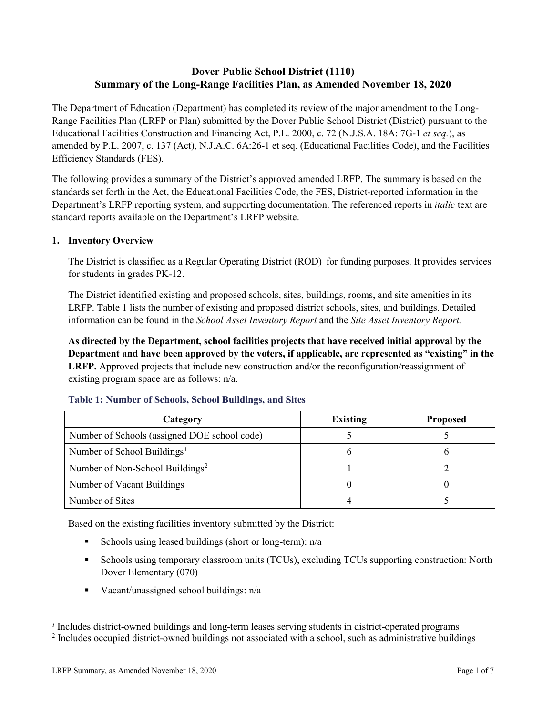# **Dover Public School District (1110) Summary of the Long-Range Facilities Plan, as Amended November 18, 2020**

The Department of Education (Department) has completed its review of the major amendment to the Long-Range Facilities Plan (LRFP or Plan) submitted by the Dover Public School District (District) pursuant to the Educational Facilities Construction and Financing Act, P.L. 2000, c. 72 (N.J.S.A. 18A: 7G-1 *et seq.*), as amended by P.L. 2007, c. 137 (Act), N.J.A.C. 6A:26-1 et seq. (Educational Facilities Code), and the Facilities Efficiency Standards (FES).

The following provides a summary of the District's approved amended LRFP. The summary is based on the standards set forth in the Act, the Educational Facilities Code, the FES, District-reported information in the Department's LRFP reporting system, and supporting documentation. The referenced reports in *italic* text are standard reports available on the Department's LRFP website.

## **1. Inventory Overview**

The District is classified as a Regular Operating District (ROD) for funding purposes. It provides services for students in grades PK-12.

The District identified existing and proposed schools, sites, buildings, rooms, and site amenities in its LRFP. Table 1 lists the number of existing and proposed district schools, sites, and buildings. Detailed information can be found in the *School Asset Inventory Report* and the *Site Asset Inventory Report.*

**As directed by the Department, school facilities projects that have received initial approval by the Department and have been approved by the voters, if applicable, are represented as "existing" in the LRFP.** Approved projects that include new construction and/or the reconfiguration/reassignment of existing program space are as follows: n/a.

| Category                                     | <b>Existing</b> | <b>Proposed</b> |
|----------------------------------------------|-----------------|-----------------|
| Number of Schools (assigned DOE school code) |                 |                 |
| Number of School Buildings <sup>1</sup>      |                 |                 |
| Number of Non-School Buildings <sup>2</sup>  |                 |                 |
| Number of Vacant Buildings                   |                 |                 |
| Number of Sites                              |                 |                 |

#### **Table 1: Number of Schools, School Buildings, and Sites**

Based on the existing facilities inventory submitted by the District:

- Schools using leased buildings (short or long-term):  $n/a$
- Schools using temporary classroom units (TCUs), excluding TCUs supporting construction: North Dover Elementary (070)
- Vacant/unassigned school buildings: n/a

 $\overline{a}$ 

<span id="page-1-1"></span><span id="page-1-0"></span>*<sup>1</sup>* Includes district-owned buildings and long-term leases serving students in district-operated programs

<sup>&</sup>lt;sup>2</sup> Includes occupied district-owned buildings not associated with a school, such as administrative buildings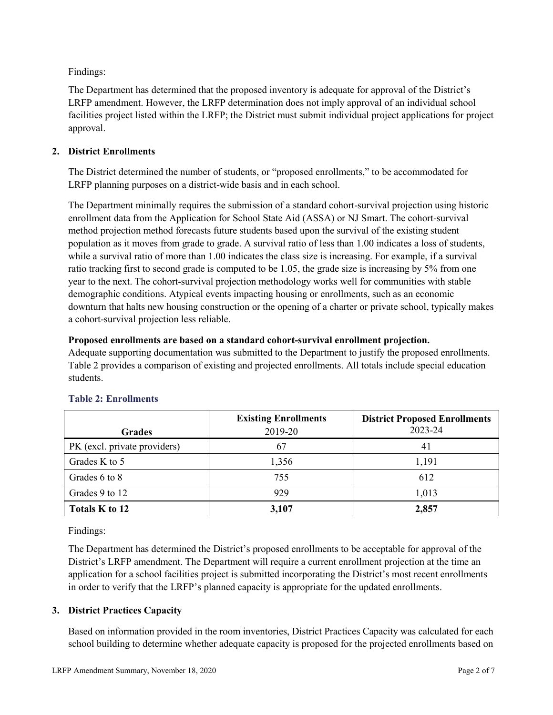Findings:

The Department has determined that the proposed inventory is adequate for approval of the District's LRFP amendment. However, the LRFP determination does not imply approval of an individual school facilities project listed within the LRFP; the District must submit individual project applications for project approval.

# **2. District Enrollments**

The District determined the number of students, or "proposed enrollments," to be accommodated for LRFP planning purposes on a district-wide basis and in each school.

The Department minimally requires the submission of a standard cohort-survival projection using historic enrollment data from the Application for School State Aid (ASSA) or NJ Smart. The cohort-survival method projection method forecasts future students based upon the survival of the existing student population as it moves from grade to grade. A survival ratio of less than 1.00 indicates a loss of students, while a survival ratio of more than 1.00 indicates the class size is increasing. For example, if a survival ratio tracking first to second grade is computed to be 1.05, the grade size is increasing by 5% from one year to the next. The cohort-survival projection methodology works well for communities with stable demographic conditions. Atypical events impacting housing or enrollments, such as an economic downturn that halts new housing construction or the opening of a charter or private school, typically makes a cohort-survival projection less reliable.

## **Proposed enrollments are based on a standard cohort-survival enrollment projection.**

Adequate supporting documentation was submitted to the Department to justify the proposed enrollments. Table 2 provides a comparison of existing and projected enrollments. All totals include special education students.

|                              | <b>Existing Enrollments</b> | <b>District Proposed Enrollments</b> |
|------------------------------|-----------------------------|--------------------------------------|
| <b>Grades</b>                | 2019-20                     | 2023-24                              |
| PK (excl. private providers) | 67                          | 41                                   |
| Grades K to 5                | 1,356                       | 1,191                                |
| Grades 6 to 8                | 755                         | 612                                  |
| Grades 9 to 12               | 929                         | 1,013                                |
| Totals K to 12               | 3,107                       | 2,857                                |

# **Table 2: Enrollments**

Findings:

The Department has determined the District's proposed enrollments to be acceptable for approval of the District's LRFP amendment. The Department will require a current enrollment projection at the time an application for a school facilities project is submitted incorporating the District's most recent enrollments in order to verify that the LRFP's planned capacity is appropriate for the updated enrollments.

## **3. District Practices Capacity**

Based on information provided in the room inventories, District Practices Capacity was calculated for each school building to determine whether adequate capacity is proposed for the projected enrollments based on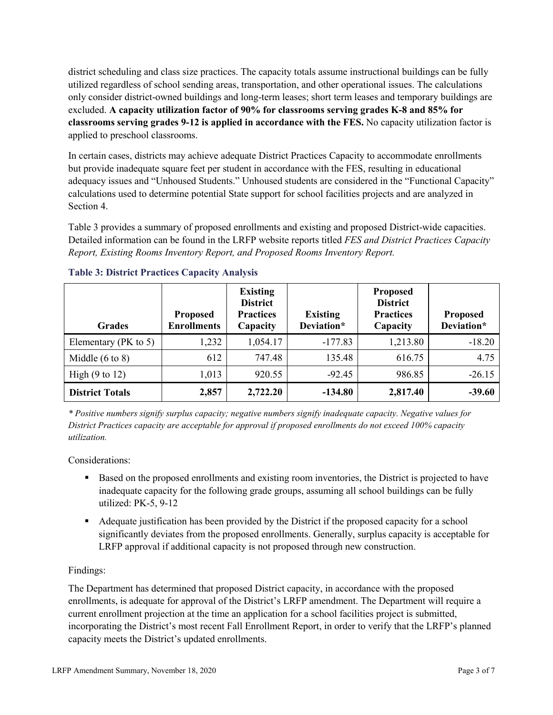district scheduling and class size practices. The capacity totals assume instructional buildings can be fully utilized regardless of school sending areas, transportation, and other operational issues. The calculations only consider district-owned buildings and long-term leases; short term leases and temporary buildings are excluded. **A capacity utilization factor of 90% for classrooms serving grades K-8 and 85% for classrooms serving grades 9-12 is applied in accordance with the FES.** No capacity utilization factor is applied to preschool classrooms.

In certain cases, districts may achieve adequate District Practices Capacity to accommodate enrollments but provide inadequate square feet per student in accordance with the FES, resulting in educational adequacy issues and "Unhoused Students." Unhoused students are considered in the "Functional Capacity" calculations used to determine potential State support for school facilities projects and are analyzed in Section 4.

Table 3 provides a summary of proposed enrollments and existing and proposed District-wide capacities. Detailed information can be found in the LRFP website reports titled *FES and District Practices Capacity Report, Existing Rooms Inventory Report, and Proposed Rooms Inventory Report.*

| <b>Grades</b>              | <b>Proposed</b><br><b>Enrollments</b> | <b>Existing</b><br><b>District</b><br><b>Practices</b><br>Capacity | <b>Existing</b><br>Deviation* | <b>Proposed</b><br><b>District</b><br><b>Practices</b><br>Capacity | <b>Proposed</b><br>Deviation* |
|----------------------------|---------------------------------------|--------------------------------------------------------------------|-------------------------------|--------------------------------------------------------------------|-------------------------------|
| Elementary ( $PK$ to 5)    | 1,232                                 | 1,054.17                                                           | $-177.83$                     | 1,213.80                                                           | $-18.20$                      |
| Middle $(6 \text{ to } 8)$ | 612                                   | 747.48                                                             | 135.48                        | 616.75                                                             | 4.75                          |
| High $(9 \text{ to } 12)$  | 1,013                                 | 920.55                                                             | $-92.45$                      | 986.85                                                             | $-26.15$                      |
| <b>District Totals</b>     | 2,857                                 | 2,722.20                                                           | $-134.80$                     | 2,817.40                                                           | $-39.60$                      |

## **Table 3: District Practices Capacity Analysis**

*\* Positive numbers signify surplus capacity; negative numbers signify inadequate capacity. Negative values for District Practices capacity are acceptable for approval if proposed enrollments do not exceed 100% capacity utilization.*

Considerations:

- Based on the proposed enrollments and existing room inventories, the District is projected to have inadequate capacity for the following grade groups, assuming all school buildings can be fully utilized: PK-5, 9-12
- Adequate justification has been provided by the District if the proposed capacity for a school significantly deviates from the proposed enrollments. Generally, surplus capacity is acceptable for LRFP approval if additional capacity is not proposed through new construction.

## Findings:

The Department has determined that proposed District capacity, in accordance with the proposed enrollments, is adequate for approval of the District's LRFP amendment. The Department will require a current enrollment projection at the time an application for a school facilities project is submitted, incorporating the District's most recent Fall Enrollment Report, in order to verify that the LRFP's planned capacity meets the District's updated enrollments.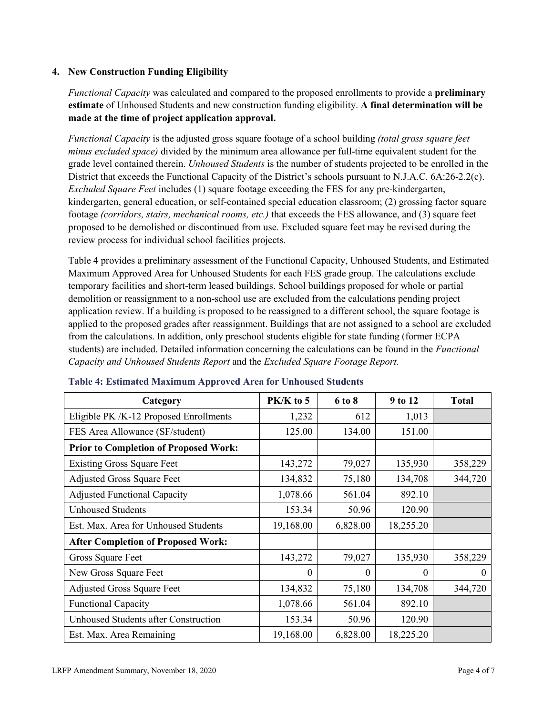#### **4. New Construction Funding Eligibility**

*Functional Capacity* was calculated and compared to the proposed enrollments to provide a **preliminary estimate** of Unhoused Students and new construction funding eligibility. **A final determination will be made at the time of project application approval.**

*Functional Capacity* is the adjusted gross square footage of a school building *(total gross square feet minus excluded space)* divided by the minimum area allowance per full-time equivalent student for the grade level contained therein. *Unhoused Students* is the number of students projected to be enrolled in the District that exceeds the Functional Capacity of the District's schools pursuant to N.J.A.C. 6A:26-2.2(c). *Excluded Square Feet* includes (1) square footage exceeding the FES for any pre-kindergarten, kindergarten, general education, or self-contained special education classroom; (2) grossing factor square footage *(corridors, stairs, mechanical rooms, etc.)* that exceeds the FES allowance, and (3) square feet proposed to be demolished or discontinued from use. Excluded square feet may be revised during the review process for individual school facilities projects.

Table 4 provides a preliminary assessment of the Functional Capacity, Unhoused Students, and Estimated Maximum Approved Area for Unhoused Students for each FES grade group. The calculations exclude temporary facilities and short-term leased buildings. School buildings proposed for whole or partial demolition or reassignment to a non-school use are excluded from the calculations pending project application review. If a building is proposed to be reassigned to a different school, the square footage is applied to the proposed grades after reassignment. Buildings that are not assigned to a school are excluded from the calculations. In addition, only preschool students eligible for state funding (former ECPA students) are included. Detailed information concerning the calculations can be found in the *Functional Capacity and Unhoused Students Report* and the *Excluded Square Footage Report.*

| Category                                     | $PK/K$ to 5 | 6 to 8   | 9 to 12   | <b>Total</b> |
|----------------------------------------------|-------------|----------|-----------|--------------|
| Eligible PK /K-12 Proposed Enrollments       | 1,232       | 612      | 1,013     |              |
| FES Area Allowance (SF/student)              | 125.00      | 134.00   | 151.00    |              |
| <b>Prior to Completion of Proposed Work:</b> |             |          |           |              |
| <b>Existing Gross Square Feet</b>            | 143,272     | 79,027   | 135,930   | 358,229      |
| <b>Adjusted Gross Square Feet</b>            | 134,832     | 75,180   | 134,708   | 344,720      |
| <b>Adjusted Functional Capacity</b>          | 1,078.66    | 561.04   | 892.10    |              |
| <b>Unhoused Students</b>                     | 153.34      | 50.96    | 120.90    |              |
| Est. Max. Area for Unhoused Students         | 19,168.00   | 6,828.00 | 18,255.20 |              |
| <b>After Completion of Proposed Work:</b>    |             |          |           |              |
| Gross Square Feet                            | 143,272     | 79,027   | 135,930   | 358,229      |
| New Gross Square Feet                        | $\theta$    | 0        | $\theta$  | $\Omega$     |
| <b>Adjusted Gross Square Feet</b>            | 134,832     | 75,180   | 134,708   | 344,720      |
| <b>Functional Capacity</b>                   | 1,078.66    | 561.04   | 892.10    |              |
| <b>Unhoused Students after Construction</b>  | 153.34      | 50.96    | 120.90    |              |
| Est. Max. Area Remaining                     | 19,168.00   | 6,828.00 | 18,225.20 |              |

#### **Table 4: Estimated Maximum Approved Area for Unhoused Students**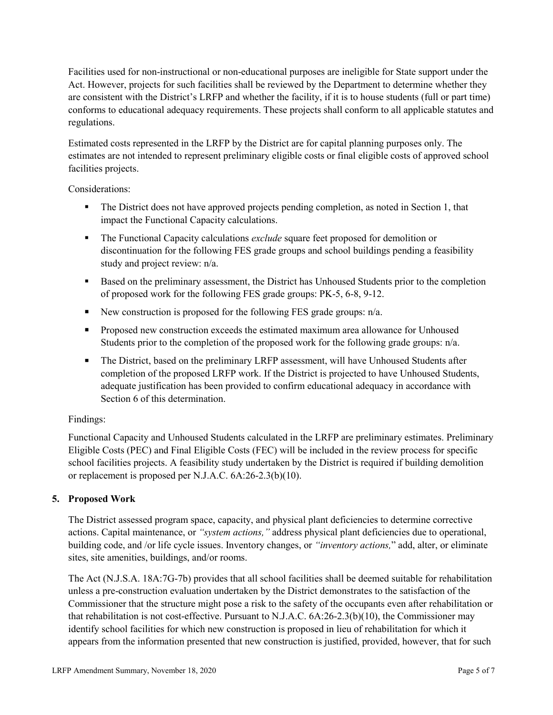Facilities used for non-instructional or non-educational purposes are ineligible for State support under the Act. However, projects for such facilities shall be reviewed by the Department to determine whether they are consistent with the District's LRFP and whether the facility, if it is to house students (full or part time) conforms to educational adequacy requirements. These projects shall conform to all applicable statutes and regulations.

Estimated costs represented in the LRFP by the District are for capital planning purposes only. The estimates are not intended to represent preliminary eligible costs or final eligible costs of approved school facilities projects.

Considerations:

- The District does not have approved projects pending completion, as noted in Section 1, that impact the Functional Capacity calculations.
- **The Functional Capacity calculations** *exclude* square feet proposed for demolition or discontinuation for the following FES grade groups and school buildings pending a feasibility study and project review: n/a.
- **Based on the preliminary assessment, the District has Unhoused Students prior to the completion** of proposed work for the following FES grade groups: PK-5, 6-8, 9-12.
- New construction is proposed for the following FES grade groups: n/a.
- Proposed new construction exceeds the estimated maximum area allowance for Unhoused Students prior to the completion of the proposed work for the following grade groups: n/a.
- The District, based on the preliminary LRFP assessment, will have Unhoused Students after completion of the proposed LRFP work. If the District is projected to have Unhoused Students, adequate justification has been provided to confirm educational adequacy in accordance with Section 6 of this determination.

## Findings:

Functional Capacity and Unhoused Students calculated in the LRFP are preliminary estimates. Preliminary Eligible Costs (PEC) and Final Eligible Costs (FEC) will be included in the review process for specific school facilities projects. A feasibility study undertaken by the District is required if building demolition or replacement is proposed per N.J.A.C. 6A:26-2.3(b)(10).

## **5. Proposed Work**

The District assessed program space, capacity, and physical plant deficiencies to determine corrective actions. Capital maintenance, or *"system actions,"* address physical plant deficiencies due to operational, building code, and /or life cycle issues. Inventory changes, or *"inventory actions,*" add, alter, or eliminate sites, site amenities, buildings, and/or rooms.

The Act (N.J.S.A. 18A:7G-7b) provides that all school facilities shall be deemed suitable for rehabilitation unless a pre-construction evaluation undertaken by the District demonstrates to the satisfaction of the Commissioner that the structure might pose a risk to the safety of the occupants even after rehabilitation or that rehabilitation is not cost-effective. Pursuant to N.J.A.C. 6A:26-2.3(b)(10), the Commissioner may identify school facilities for which new construction is proposed in lieu of rehabilitation for which it appears from the information presented that new construction is justified, provided, however, that for such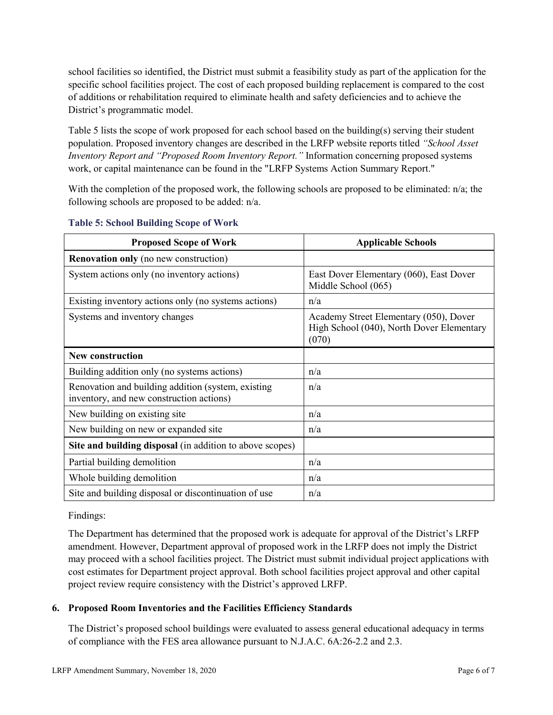school facilities so identified, the District must submit a feasibility study as part of the application for the specific school facilities project. The cost of each proposed building replacement is compared to the cost of additions or rehabilitation required to eliminate health and safety deficiencies and to achieve the District's programmatic model.

Table 5 lists the scope of work proposed for each school based on the building(s) serving their student population. Proposed inventory changes are described in the LRFP website reports titled *"School Asset Inventory Report and "Proposed Room Inventory Report."* Information concerning proposed systems work, or capital maintenance can be found in the "LRFP Systems Action Summary Report."

With the completion of the proposed work, the following schools are proposed to be eliminated: n/a; the following schools are proposed to be added: n/a.

| <b>Proposed Scope of Work</b>                                                                  | <b>Applicable Schools</b>                                                                    |
|------------------------------------------------------------------------------------------------|----------------------------------------------------------------------------------------------|
| <b>Renovation only</b> (no new construction)                                                   |                                                                                              |
| System actions only (no inventory actions)                                                     | East Dover Elementary (060), East Dover<br>Middle School (065)                               |
| Existing inventory actions only (no systems actions)                                           | n/a                                                                                          |
| Systems and inventory changes                                                                  | Academy Street Elementary (050), Dover<br>High School (040), North Dover Elementary<br>(070) |
| <b>New construction</b>                                                                        |                                                                                              |
| Building addition only (no systems actions)                                                    | n/a                                                                                          |
| Renovation and building addition (system, existing<br>inventory, and new construction actions) | n/a                                                                                          |
| New building on existing site                                                                  | n/a                                                                                          |
| New building on new or expanded site                                                           | n/a                                                                                          |
| Site and building disposal (in addition to above scopes)                                       |                                                                                              |
| Partial building demolition                                                                    | n/a                                                                                          |
| Whole building demolition                                                                      | n/a                                                                                          |
| Site and building disposal or discontinuation of use                                           | n/a                                                                                          |

#### **Table 5: School Building Scope of Work**

#### Findings:

The Department has determined that the proposed work is adequate for approval of the District's LRFP amendment. However, Department approval of proposed work in the LRFP does not imply the District may proceed with a school facilities project. The District must submit individual project applications with cost estimates for Department project approval. Both school facilities project approval and other capital project review require consistency with the District's approved LRFP.

## **6. Proposed Room Inventories and the Facilities Efficiency Standards**

The District's proposed school buildings were evaluated to assess general educational adequacy in terms of compliance with the FES area allowance pursuant to N.J.A.C. 6A:26-2.2 and 2.3.